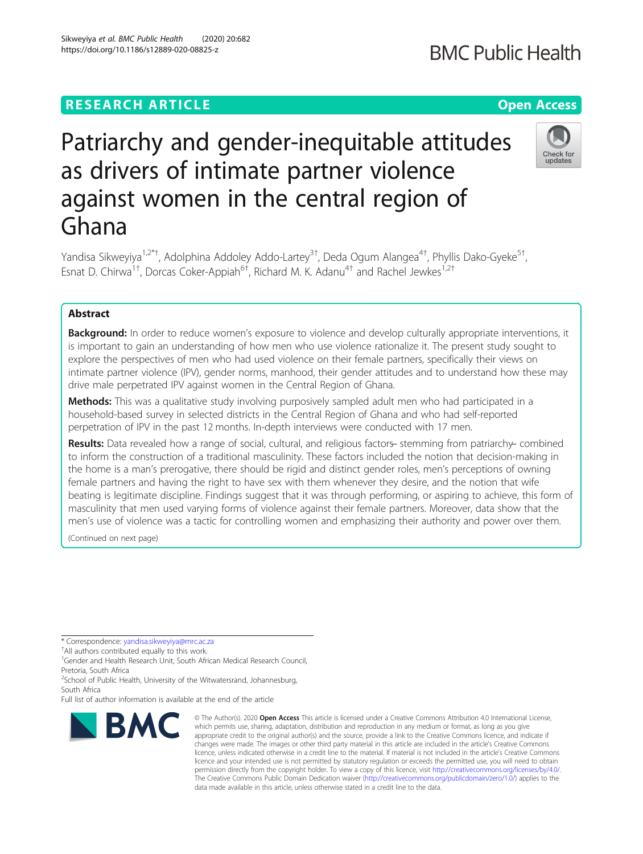# **RESEARCH ARTICLE Example 2014 12:30 The Contract of Contract ACCESS**

Sikweyiya et al. BMC Public Health (2020) 20:682 https://doi.org/10.1186/s12889-020-08825-z

# Patriarchy and gender-inequitable attitudes as drivers of intimate partner violence against women in the central region of Ghana

Yandisa Sikweyiya<sup>1,2\*†</sup>, Adolphina Addoley Addo-Lartey<sup>3†</sup>, Deda Ogum Alangea<sup>4†</sup>, Phyllis Dako-Gyeke<sup>5†</sup> , Esnat D. Chirwa<sup>1+</sup>, Dorcas Coker-Appiah<sup>6†</sup>, Richard M. K. Adanu<sup>4†</sup> and Rachel Jewkes<sup>1,2†</sup>

# Abstract

Background: In order to reduce women's exposure to violence and develop culturally appropriate interventions, it is important to gain an understanding of how men who use violence rationalize it. The present study sought to explore the perspectives of men who had used violence on their female partners, specifically their views on intimate partner violence (IPV), gender norms, manhood, their gender attitudes and to understand how these may drive male perpetrated IPV against women in the Central Region of Ghana.

Methods: This was a qualitative study involving purposively sampled adult men who had participated in a household-based survey in selected districts in the Central Region of Ghana and who had self-reported perpetration of IPV in the past 12 months. In-depth interviews were conducted with 17 men.

Results: Data revealed how a range of social, cultural, and religious factors- stemming from patriarchy- combined to inform the construction of a traditional masculinity. These factors included the notion that decision-making in the home is a man's prerogative, there should be rigid and distinct gender roles, men's perceptions of owning female partners and having the right to have sex with them whenever they desire, and the notion that wife beating is legitimate discipline. Findings suggest that it was through performing, or aspiring to achieve, this form of masculinity that men used varying forms of violence against their female partners. Moreover, data show that the men's use of violence was a tactic for controlling women and emphasizing their authority and power over them.

(Continued on next page)

\* Correspondence: [yandisa.sikweyiya@mrc.ac.za](mailto:yandisa.sikweyiya@mrc.ac.za) †

<sup>+</sup>All authors contributed equally to this work. <sup>1</sup>Gender and Health Research Unit, South African Medical Research Council,

Pretoria, South Africa

<sup>2</sup>School of Public Health, University of the Witwatersrand, Johannesburg, South Africa

Full list of author information is available at the end of the article

which permits use, sharing, adaptation, distribution and reproduction in any medium or format, as long as you give appropriate credit to the original author(s) and the source, provide a link to the Creative Commons licence, and indicate if changes were made. The images or other third party material in this article are included in the article's Creative Commons licence, unless indicated otherwise in a credit line to the material. If material is not included in the article's Creative Commons licence and your intended use is not permitted by statutory regulation or exceeds the permitted use, you will need to obtain permission directly from the copyright holder. To view a copy of this licence, visit [http://creativecommons.org/licenses/by/4.0/.](http://creativecommons.org/licenses/by/4.0/) The Creative Commons Public Domain Dedication waiver [\(http://creativecommons.org/publicdomain/zero/1.0/](http://creativecommons.org/publicdomain/zero/1.0/)) applies to the data made available in this article, unless otherwise stated in a credit line to the data.

© The Author(s), 2020 **Open Access** This article is licensed under a Creative Commons Attribution 4.0 International License,





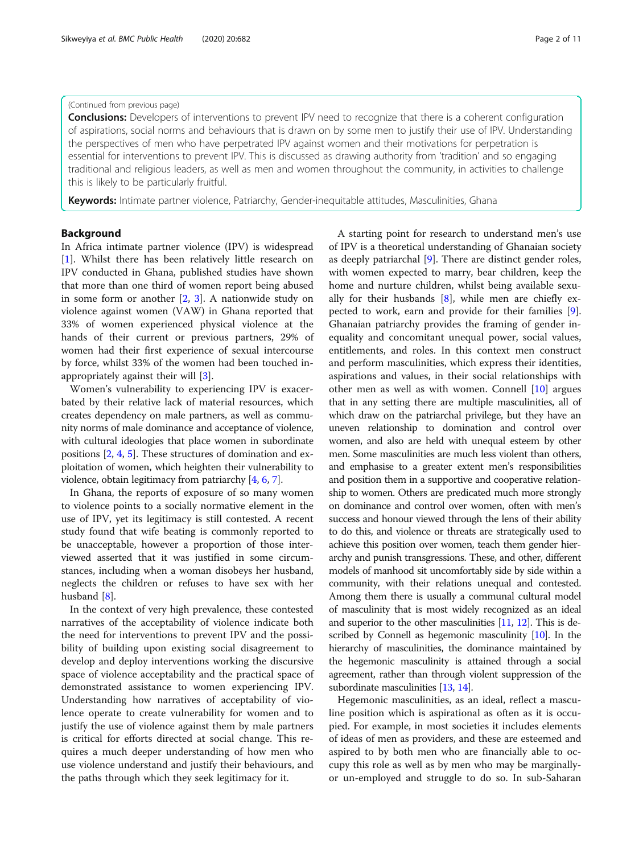#### (Continued from previous page)

**Conclusions:** Developers of interventions to prevent IPV need to recognize that there is a coherent configuration of aspirations, social norms and behaviours that is drawn on by some men to justify their use of IPV. Understanding the perspectives of men who have perpetrated IPV against women and their motivations for perpetration is essential for interventions to prevent IPV. This is discussed as drawing authority from 'tradition' and so engaging traditional and religious leaders, as well as men and women throughout the community, in activities to challenge this is likely to be particularly fruitful.

Keywords: Intimate partner violence, Patriarchy, Gender-inequitable attitudes, Masculinities, Ghana

### Background

In Africa intimate partner violence (IPV) is widespread [[1\]](#page-9-0). Whilst there has been relatively little research on IPV conducted in Ghana, published studies have shown that more than one third of women report being abused in some form or another [\[2](#page-9-0), [3\]](#page-9-0). A nationwide study on violence against women (VAW) in Ghana reported that 33% of women experienced physical violence at the hands of their current or previous partners, 29% of women had their first experience of sexual intercourse by force, whilst 33% of the women had been touched inappropriately against their will [[3\]](#page-9-0).

Women's vulnerability to experiencing IPV is exacerbated by their relative lack of material resources, which creates dependency on male partners, as well as community norms of male dominance and acceptance of violence, with cultural ideologies that place women in subordinate positions [[2](#page-9-0), [4](#page-9-0), [5\]](#page-9-0). These structures of domination and exploitation of women, which heighten their vulnerability to violence, obtain legitimacy from patriarchy [\[4,](#page-9-0) [6](#page-10-0), [7\]](#page-10-0).

In Ghana, the reports of exposure of so many women to violence points to a socially normative element in the use of IPV, yet its legitimacy is still contested. A recent study found that wife beating is commonly reported to be unacceptable, however a proportion of those interviewed asserted that it was justified in some circumstances, including when a woman disobeys her husband, neglects the children or refuses to have sex with her husband [\[8](#page-10-0)].

In the context of very high prevalence, these contested narratives of the acceptability of violence indicate both the need for interventions to prevent IPV and the possibility of building upon existing social disagreement to develop and deploy interventions working the discursive space of violence acceptability and the practical space of demonstrated assistance to women experiencing IPV. Understanding how narratives of acceptability of violence operate to create vulnerability for women and to justify the use of violence against them by male partners is critical for efforts directed at social change. This requires a much deeper understanding of how men who use violence understand and justify their behaviours, and the paths through which they seek legitimacy for it.

A starting point for research to understand men's use of IPV is a theoretical understanding of Ghanaian society as deeply patriarchal [[9\]](#page-10-0). There are distinct gender roles, with women expected to marry, bear children, keep the home and nurture children, whilst being available sexually for their husbands [\[8](#page-10-0)], while men are chiefly expected to work, earn and provide for their families [\[9](#page-10-0)]. Ghanaian patriarchy provides the framing of gender inequality and concomitant unequal power, social values, entitlements, and roles. In this context men construct and perform masculinities, which express their identities, aspirations and values, in their social relationships with other men as well as with women. Connell [\[10](#page-10-0)] argues that in any setting there are multiple masculinities, all of which draw on the patriarchal privilege, but they have an uneven relationship to domination and control over women, and also are held with unequal esteem by other men. Some masculinities are much less violent than others, and emphasise to a greater extent men's responsibilities and position them in a supportive and cooperative relationship to women. Others are predicated much more strongly on dominance and control over women, often with men's success and honour viewed through the lens of their ability to do this, and violence or threats are strategically used to achieve this position over women, teach them gender hierarchy and punish transgressions. These, and other, different models of manhood sit uncomfortably side by side within a community, with their relations unequal and contested. Among them there is usually a communal cultural model of masculinity that is most widely recognized as an ideal and superior to the other masculinities [\[11,](#page-10-0) [12](#page-10-0)]. This is described by Connell as hegemonic masculinity [\[10\]](#page-10-0). In the hierarchy of masculinities, the dominance maintained by the hegemonic masculinity is attained through a social agreement, rather than through violent suppression of the subordinate masculinities [\[13](#page-10-0), [14](#page-10-0)].

Hegemonic masculinities, as an ideal, reflect a masculine position which is aspirational as often as it is occupied. For example, in most societies it includes elements of ideas of men as providers, and these are esteemed and aspired to by both men who are financially able to occupy this role as well as by men who may be marginallyor un-employed and struggle to do so. In sub-Saharan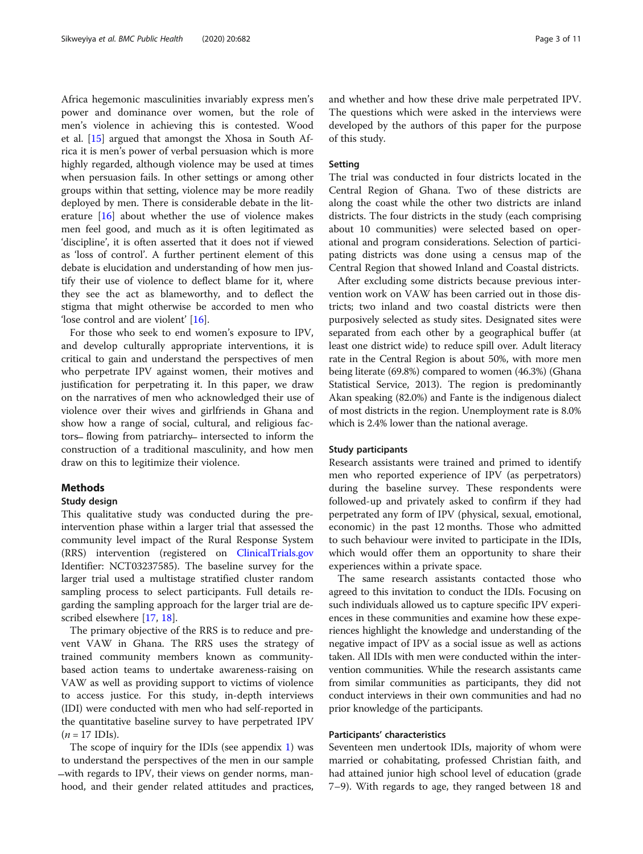Africa hegemonic masculinities invariably express men's power and dominance over women, but the role of men's violence in achieving this is contested. Wood et al. [\[15](#page-10-0)] argued that amongst the Xhosa in South Africa it is men's power of verbal persuasion which is more highly regarded, although violence may be used at times when persuasion fails. In other settings or among other groups within that setting, violence may be more readily deployed by men. There is considerable debate in the literature [[16\]](#page-10-0) about whether the use of violence makes men feel good, and much as it is often legitimated as 'discipline', it is often asserted that it does not if viewed as 'loss of control'. A further pertinent element of this debate is elucidation and understanding of how men justify their use of violence to deflect blame for it, where they see the act as blameworthy, and to deflect the stigma that might otherwise be accorded to men who 'lose control and are violent' [[16\]](#page-10-0).

For those who seek to end women's exposure to IPV, and develop culturally appropriate interventions, it is critical to gain and understand the perspectives of men who perpetrate IPV against women, their motives and justification for perpetrating it. In this paper, we draw on the narratives of men who acknowledged their use of violence over their wives and girlfriends in Ghana and show how a range of social, cultural, and religious factors-flowing from patriarchy intersected to inform the construction of a traditional masculinity, and how men draw on this to legitimize their violence.

# **Methods**

#### Study design

This qualitative study was conducted during the preintervention phase within a larger trial that assessed the community level impact of the Rural Response System (RRS) intervention (registered on [ClinicalTrials.gov](http://clinicaltrials.gov) Identifier: NCT03237585). The baseline survey for the larger trial used a multistage stratified cluster random sampling process to select participants. Full details regarding the sampling approach for the larger trial are de-scribed elsewhere [[17,](#page-10-0) [18](#page-10-0)].

The primary objective of the RRS is to reduce and prevent VAW in Ghana. The RRS uses the strategy of trained community members known as communitybased action teams to undertake awareness-raising on VAW as well as providing support to victims of violence to access justice. For this study, in-depth interviews (IDI) were conducted with men who had self-reported in the quantitative baseline survey to have perpetrated IPV  $(n = 17$  IDIs).

The scope of inquiry for the IDIs (see appendix [1](#page-9-0)) was to understand the perspectives of the men in our sample ̶with regards to IPV, their views on gender norms, manhood, and their gender related attitudes and practices, and whether and how these drive male perpetrated IPV. The questions which were asked in the interviews were developed by the authors of this paper for the purpose of this study.

### Setting

The trial was conducted in four districts located in the Central Region of Ghana. Two of these districts are along the coast while the other two districts are inland districts. The four districts in the study (each comprising about 10 communities) were selected based on operational and program considerations. Selection of participating districts was done using a census map of the Central Region that showed Inland and Coastal districts.

After excluding some districts because previous intervention work on VAW has been carried out in those districts; two inland and two coastal districts were then purposively selected as study sites. Designated sites were separated from each other by a geographical buffer (at least one district wide) to reduce spill over. Adult literacy rate in the Central Region is about 50%, with more men being literate (69.8%) compared to women (46.3%) (Ghana Statistical Service, 2013). The region is predominantly Akan speaking (82.0%) and Fante is the indigenous dialect of most districts in the region. Unemployment rate is 8.0% which is 2.4% lower than the national average.

#### Study participants

Research assistants were trained and primed to identify men who reported experience of IPV (as perpetrators) during the baseline survey. These respondents were followed-up and privately asked to confirm if they had perpetrated any form of IPV (physical, sexual, emotional, economic) in the past 12 months. Those who admitted to such behaviour were invited to participate in the IDIs, which would offer them an opportunity to share their experiences within a private space.

The same research assistants contacted those who agreed to this invitation to conduct the IDIs. Focusing on such individuals allowed us to capture specific IPV experiences in these communities and examine how these experiences highlight the knowledge and understanding of the negative impact of IPV as a social issue as well as actions taken. All IDIs with men were conducted within the intervention communities. While the research assistants came from similar communities as participants, they did not conduct interviews in their own communities and had no prior knowledge of the participants.

# Participants' characteristics

Seventeen men undertook IDIs, majority of whom were married or cohabitating, professed Christian faith, and had attained junior high school level of education (grade 7–9). With regards to age, they ranged between 18 and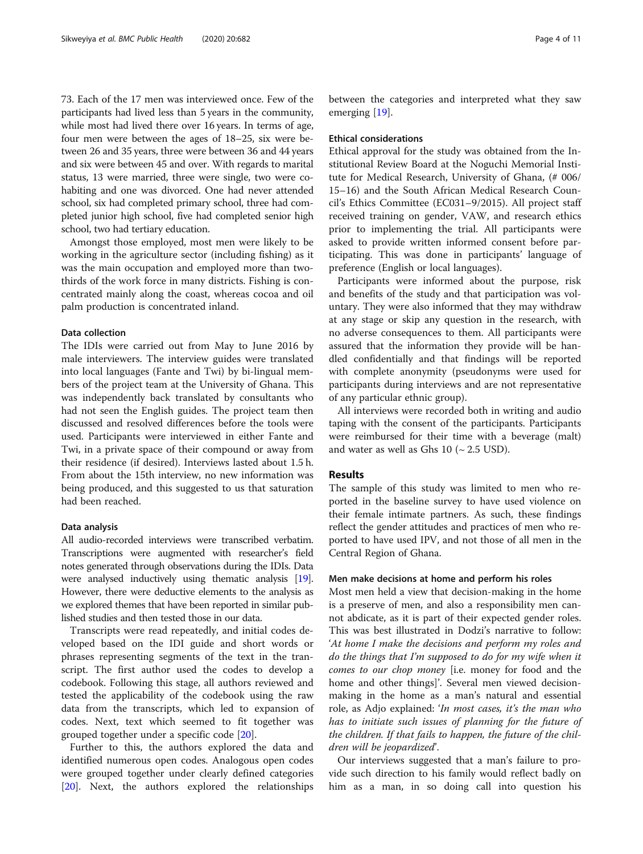73. Each of the 17 men was interviewed once. Few of the participants had lived less than 5 years in the community, while most had lived there over 16 years. In terms of age, four men were between the ages of 18–25, six were between 26 and 35 years, three were between 36 and 44 years and six were between 45 and over. With regards to marital status, 13 were married, three were single, two were cohabiting and one was divorced. One had never attended school, six had completed primary school, three had completed junior high school, five had completed senior high school, two had tertiary education.

Amongst those employed, most men were likely to be working in the agriculture sector (including fishing) as it was the main occupation and employed more than twothirds of the work force in many districts. Fishing is concentrated mainly along the coast, whereas cocoa and oil palm production is concentrated inland.

#### Data collection

The IDIs were carried out from May to June 2016 by male interviewers. The interview guides were translated into local languages (Fante and Twi) by bi-lingual members of the project team at the University of Ghana. This was independently back translated by consultants who had not seen the English guides. The project team then discussed and resolved differences before the tools were used. Participants were interviewed in either Fante and Twi, in a private space of their compound or away from their residence (if desired). Interviews lasted about 1.5 h. From about the 15th interview, no new information was being produced, and this suggested to us that saturation had been reached.

#### Data analysis

All audio-recorded interviews were transcribed verbatim. Transcriptions were augmented with researcher's field notes generated through observations during the IDIs. Data were analysed inductively using thematic analysis [\[19](#page-10-0)]. However, there were deductive elements to the analysis as we explored themes that have been reported in similar published studies and then tested those in our data.

Transcripts were read repeatedly, and initial codes developed based on the IDI guide and short words or phrases representing segments of the text in the transcript. The first author used the codes to develop a codebook. Following this stage, all authors reviewed and tested the applicability of the codebook using the raw data from the transcripts, which led to expansion of codes. Next, text which seemed to fit together was grouped together under a specific code [[20\]](#page-10-0).

Further to this, the authors explored the data and identified numerous open codes. Analogous open codes were grouped together under clearly defined categories [[20\]](#page-10-0). Next, the authors explored the relationships between the categories and interpreted what they saw emerging [[19\]](#page-10-0).

#### Ethical considerations

Ethical approval for the study was obtained from the Institutional Review Board at the Noguchi Memorial Institute for Medical Research, University of Ghana, (# 006/ 15–16) and the South African Medical Research Council's Ethics Committee (EC031–9/2015). All project staff received training on gender, VAW, and research ethics prior to implementing the trial. All participants were asked to provide written informed consent before participating. This was done in participants' language of preference (English or local languages).

Participants were informed about the purpose, risk and benefits of the study and that participation was voluntary. They were also informed that they may withdraw at any stage or skip any question in the research, with no adverse consequences to them. All participants were assured that the information they provide will be handled confidentially and that findings will be reported with complete anonymity (pseudonyms were used for participants during interviews and are not representative of any particular ethnic group).

All interviews were recorded both in writing and audio taping with the consent of the participants. Participants were reimbursed for their time with a beverage (malt) and water as well as Ghs 10 ( $\sim$  2.5 USD).

#### Results

The sample of this study was limited to men who reported in the baseline survey to have used violence on their female intimate partners. As such, these findings reflect the gender attitudes and practices of men who reported to have used IPV, and not those of all men in the Central Region of Ghana.

#### Men make decisions at home and perform his roles

Most men held a view that decision-making in the home is a preserve of men, and also a responsibility men cannot abdicate, as it is part of their expected gender roles. This was best illustrated in Dodzi's narrative to follow: 'At home I make the decisions and perform my roles and do the things that I'm supposed to do for my wife when it comes to our chop money [i.e. money for food and the home and other things]'. Several men viewed decisionmaking in the home as a man's natural and essential role, as Adjo explained: 'In most cases, it's the man who has to initiate such issues of planning for the future of the children. If that fails to happen, the future of the children will be jeopardized'.

Our interviews suggested that a man's failure to provide such direction to his family would reflect badly on him as a man, in so doing call into question his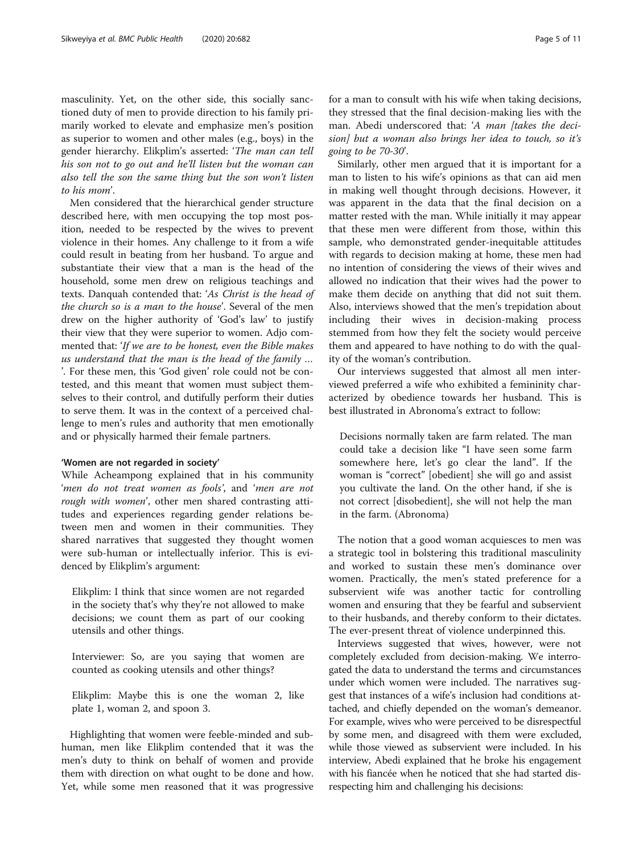masculinity. Yet, on the other side, this socially sanctioned duty of men to provide direction to his family primarily worked to elevate and emphasize men's position as superior to women and other males (e.g., boys) in the gender hierarchy. Elikplim's asserted: 'The man can tell his son not to go out and he'll listen but the woman can also tell the son the same thing but the son won't listen to his mom'.

Men considered that the hierarchical gender structure described here, with men occupying the top most position, needed to be respected by the wives to prevent violence in their homes. Any challenge to it from a wife could result in beating from her husband. To argue and substantiate their view that a man is the head of the household, some men drew on religious teachings and texts. Danquah contended that: 'As Christ is the head of the church so is a man to the house'. Several of the men drew on the higher authority of 'God's law' to justify their view that they were superior to women. Adjo commented that: 'If we are to be honest, even the Bible makes us understand that the man is the head of the family … '. For these men, this 'God given' role could not be contested, and this meant that women must subject themselves to their control, and dutifully perform their duties to serve them. It was in the context of a perceived challenge to men's rules and authority that men emotionally and or physically harmed their female partners.

#### 'Women are not regarded in society'

While Acheampong explained that in his community 'men do not treat women as fools', and 'men are not rough with women', other men shared contrasting attitudes and experiences regarding gender relations between men and women in their communities. They shared narratives that suggested they thought women were sub-human or intellectually inferior. This is evidenced by Elikplim's argument:

Elikplim: I think that since women are not regarded in the society that's why they're not allowed to make decisions; we count them as part of our cooking utensils and other things.

Interviewer: So, are you saying that women are counted as cooking utensils and other things?

Elikplim: Maybe this is one the woman 2, like plate 1, woman 2, and spoon 3.

Highlighting that women were feeble-minded and subhuman, men like Elikplim contended that it was the men's duty to think on behalf of women and provide them with direction on what ought to be done and how. Yet, while some men reasoned that it was progressive for a man to consult with his wife when taking decisions, they stressed that the final decision-making lies with the man. Abedi underscored that: 'A man [takes the decision] but a woman also brings her idea to touch, so it's going to be 70-30'.

Similarly, other men argued that it is important for a man to listen to his wife's opinions as that can aid men in making well thought through decisions. However, it was apparent in the data that the final decision on a matter rested with the man. While initially it may appear that these men were different from those, within this sample, who demonstrated gender-inequitable attitudes with regards to decision making at home, these men had no intention of considering the views of their wives and allowed no indication that their wives had the power to make them decide on anything that did not suit them. Also, interviews showed that the men's trepidation about including their wives in decision-making process stemmed from how they felt the society would perceive them and appeared to have nothing to do with the quality of the woman's contribution.

Our interviews suggested that almost all men interviewed preferred a wife who exhibited a femininity characterized by obedience towards her husband. This is best illustrated in Abronoma's extract to follow:

Decisions normally taken are farm related. The man could take a decision like "I have seen some farm somewhere here, let's go clear the land". If the woman is "correct" [obedient] she will go and assist you cultivate the land. On the other hand, if she is not correct [disobedient], she will not help the man in the farm. (Abronoma)

The notion that a good woman acquiesces to men was a strategic tool in bolstering this traditional masculinity and worked to sustain these men's dominance over women. Practically, the men's stated preference for a subservient wife was another tactic for controlling women and ensuring that they be fearful and subservient to their husbands, and thereby conform to their dictates. The ever-present threat of violence underpinned this.

Interviews suggested that wives, however, were not completely excluded from decision-making. We interrogated the data to understand the terms and circumstances under which women were included. The narratives suggest that instances of a wife's inclusion had conditions attached, and chiefly depended on the woman's demeanor. For example, wives who were perceived to be disrespectful by some men, and disagreed with them were excluded, while those viewed as subservient were included. In his interview, Abedi explained that he broke his engagement with his fiancée when he noticed that she had started disrespecting him and challenging his decisions: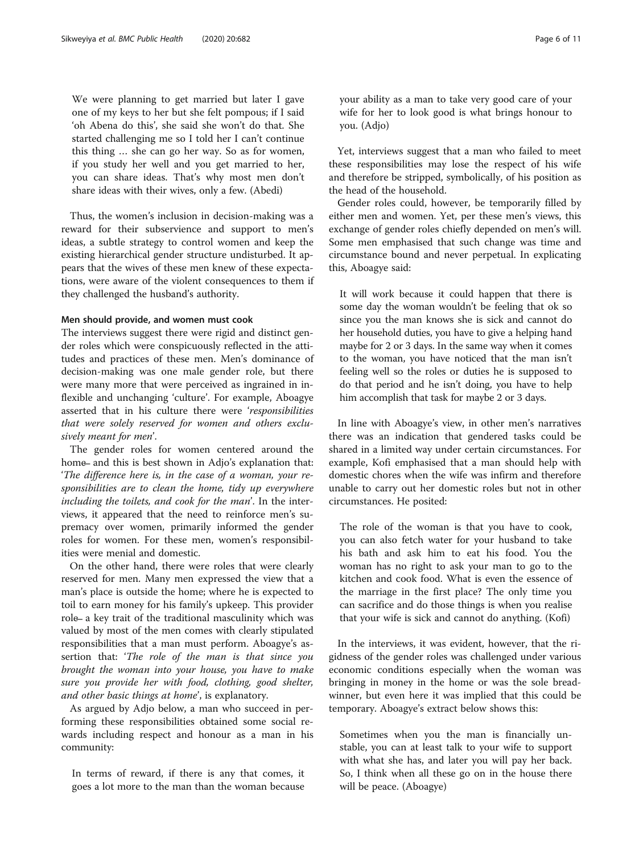We were planning to get married but later I gave one of my keys to her but she felt pompous; if I said 'oh Abena do this', she said she won't do that. She started challenging me so I told her I can't continue this thing … she can go her way. So as for women, if you study her well and you get married to her, you can share ideas. That's why most men don't share ideas with their wives, only a few. (Abedi)

Thus, the women's inclusion in decision-making was a reward for their subservience and support to men's ideas, a subtle strategy to control women and keep the existing hierarchical gender structure undisturbed. It appears that the wives of these men knew of these expectations, were aware of the violent consequences to them if they challenged the husband's authority.

#### Men should provide, and women must cook

The interviews suggest there were rigid and distinct gender roles which were conspicuously reflected in the attitudes and practices of these men. Men's dominance of decision-making was one male gender role, but there were many more that were perceived as ingrained in inflexible and unchanging 'culture'. For example, Aboagye asserted that in his culture there were 'responsibilities that were solely reserved for women and others exclusively meant for men'.

The gender roles for women centered around the home and this is best shown in Adjo's explanation that: 'The difference here is, in the case of a woman, your responsibilities are to clean the home, tidy up everywhere including the toilets, and cook for the man'. In the interviews, it appeared that the need to reinforce men's supremacy over women, primarily informed the gender roles for women. For these men, women's responsibilities were menial and domestic.

On the other hand, there were roles that were clearly reserved for men. Many men expressed the view that a man's place is outside the home; where he is expected to toil to earn money for his family's upkeep. This provider role̶a key trait of the traditional masculinity which was valued by most of the men comes with clearly stipulated responsibilities that a man must perform. Aboagye's assertion that: 'The role of the man is that since you brought the woman into your house, you have to make sure you provide her with food, clothing, good shelter, and other basic things at home', is explanatory.

As argued by Adjo below, a man who succeed in performing these responsibilities obtained some social rewards including respect and honour as a man in his community:

In terms of reward, if there is any that comes, it goes a lot more to the man than the woman because

your ability as a man to take very good care of your wife for her to look good is what brings honour to you. (Adjo)

Yet, interviews suggest that a man who failed to meet these responsibilities may lose the respect of his wife and therefore be stripped, symbolically, of his position as the head of the household.

Gender roles could, however, be temporarily filled by either men and women. Yet, per these men's views, this exchange of gender roles chiefly depended on men's will. Some men emphasised that such change was time and circumstance bound and never perpetual. In explicating this, Aboagye said:

It will work because it could happen that there is some day the woman wouldn't be feeling that ok so since you the man knows she is sick and cannot do her household duties, you have to give a helping hand maybe for 2 or 3 days. In the same way when it comes to the woman, you have noticed that the man isn't feeling well so the roles or duties he is supposed to do that period and he isn't doing, you have to help him accomplish that task for maybe 2 or 3 days.

In line with Aboagye's view, in other men's narratives there was an indication that gendered tasks could be shared in a limited way under certain circumstances. For example, Kofi emphasised that a man should help with domestic chores when the wife was infirm and therefore unable to carry out her domestic roles but not in other circumstances. He posited:

The role of the woman is that you have to cook, you can also fetch water for your husband to take his bath and ask him to eat his food. You the woman has no right to ask your man to go to the kitchen and cook food. What is even the essence of the marriage in the first place? The only time you can sacrifice and do those things is when you realise that your wife is sick and cannot do anything. (Kofi)

In the interviews, it was evident, however, that the rigidness of the gender roles was challenged under various economic conditions especially when the woman was bringing in money in the home or was the sole breadwinner, but even here it was implied that this could be temporary. Aboagye's extract below shows this:

Sometimes when you the man is financially unstable, you can at least talk to your wife to support with what she has, and later you will pay her back. So, I think when all these go on in the house there will be peace. (Aboagye)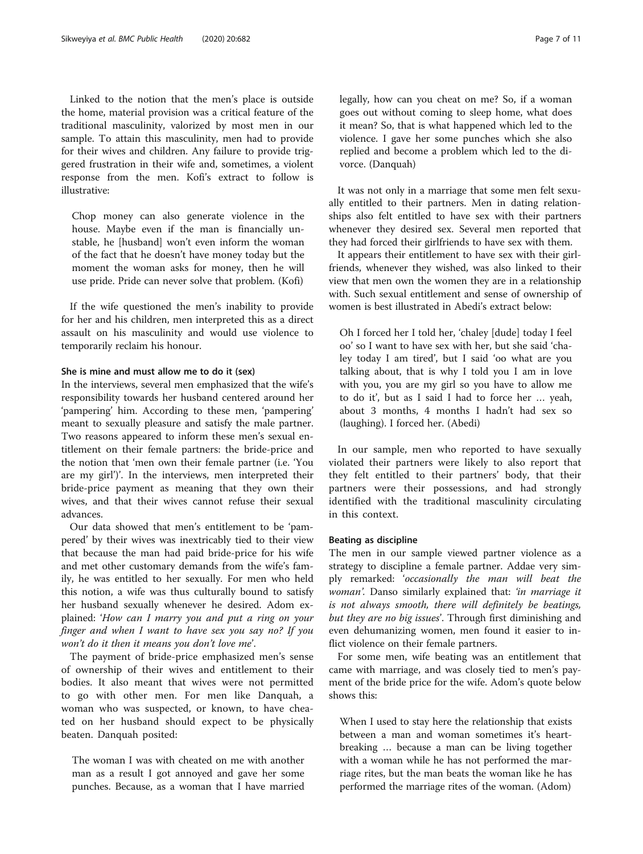Linked to the notion that the men's place is outside the home, material provision was a critical feature of the traditional masculinity, valorized by most men in our sample. To attain this masculinity, men had to provide for their wives and children. Any failure to provide triggered frustration in their wife and, sometimes, a violent response from the men. Kofi's extract to follow is illustrative:

Chop money can also generate violence in the house. Maybe even if the man is financially unstable, he [husband] won't even inform the woman of the fact that he doesn't have money today but the moment the woman asks for money, then he will use pride. Pride can never solve that problem. (Kofi)

If the wife questioned the men's inability to provide for her and his children, men interpreted this as a direct assault on his masculinity and would use violence to temporarily reclaim his honour.

#### She is mine and must allow me to do it (sex)

In the interviews, several men emphasized that the wife's responsibility towards her husband centered around her 'pampering' him. According to these men, 'pampering' meant to sexually pleasure and satisfy the male partner. Two reasons appeared to inform these men's sexual entitlement on their female partners: the bride-price and the notion that 'men own their female partner (i.e. 'You are my girl')'. In the interviews, men interpreted their bride-price payment as meaning that they own their wives, and that their wives cannot refuse their sexual advances.

Our data showed that men's entitlement to be 'pampered' by their wives was inextricably tied to their view that because the man had paid bride-price for his wife and met other customary demands from the wife's family, he was entitled to her sexually. For men who held this notion, a wife was thus culturally bound to satisfy her husband sexually whenever he desired. Adom explained: 'How can I marry you and put a ring on your finger and when I want to have sex you say no? If you won't do it then it means you don't love me'.

The payment of bride-price emphasized men's sense of ownership of their wives and entitlement to their bodies. It also meant that wives were not permitted to go with other men. For men like Danquah, a woman who was suspected, or known, to have cheated on her husband should expect to be physically beaten. Danquah posited:

The woman I was with cheated on me with another man as a result I got annoyed and gave her some punches. Because, as a woman that I have married

legally, how can you cheat on me? So, if a woman goes out without coming to sleep home, what does it mean? So, that is what happened which led to the violence. I gave her some punches which she also replied and become a problem which led to the divorce. (Danquah)

It was not only in a marriage that some men felt sexually entitled to their partners. Men in dating relationships also felt entitled to have sex with their partners whenever they desired sex. Several men reported that they had forced their girlfriends to have sex with them.

It appears their entitlement to have sex with their girlfriends, whenever they wished, was also linked to their view that men own the women they are in a relationship with. Such sexual entitlement and sense of ownership of women is best illustrated in Abedi's extract below:

Oh I forced her I told her, 'chaley [dude] today I feel oo' so I want to have sex with her, but she said 'chaley today I am tired', but I said 'oo what are you talking about, that is why I told you I am in love with you, you are my girl so you have to allow me to do it', but as I said I had to force her … yeah, about 3 months, 4 months I hadn't had sex so (laughing). I forced her. (Abedi)

In our sample, men who reported to have sexually violated their partners were likely to also report that they felt entitled to their partners' body, that their partners were their possessions, and had strongly identified with the traditional masculinity circulating in this context.

#### Beating as discipline

The men in our sample viewed partner violence as a strategy to discipline a female partner. Addae very simply remarked: 'occasionally the man will beat the woman'. Danso similarly explained that: 'in marriage it is not always smooth, there will definitely be beatings, but they are no big issues'. Through first diminishing and even dehumanizing women, men found it easier to inflict violence on their female partners.

For some men, wife beating was an entitlement that came with marriage, and was closely tied to men's payment of the bride price for the wife. Adom's quote below shows this:

When I used to stay here the relationship that exists between a man and woman sometimes it's heartbreaking … because a man can be living together with a woman while he has not performed the marriage rites, but the man beats the woman like he has performed the marriage rites of the woman. (Adom)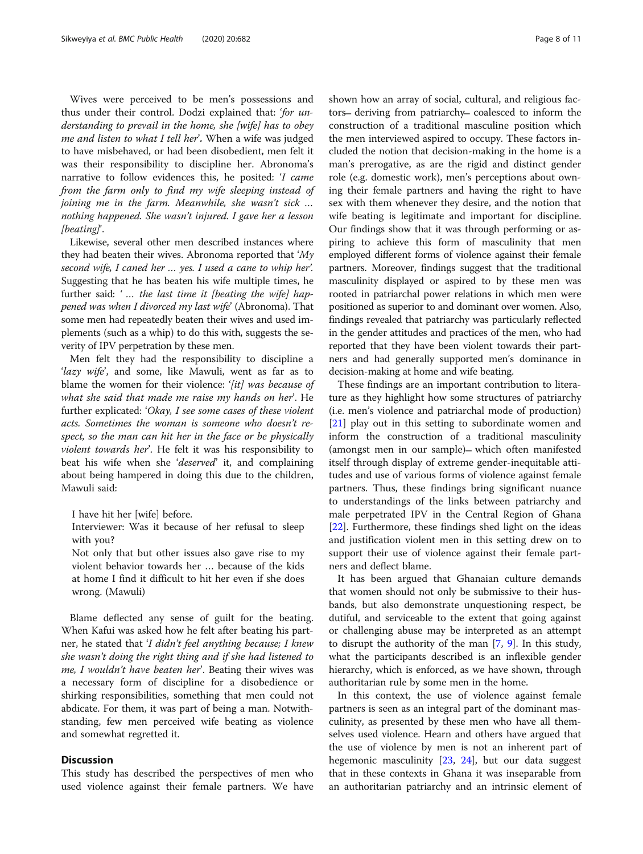Wives were perceived to be men's possessions and thus under their control. Dodzi explained that: 'for understanding to prevail in the home, she [wife] has to obey me and listen to what I tell her'. When a wife was judged to have misbehaved, or had been disobedient, men felt it was their responsibility to discipline her. Abronoma's narrative to follow evidences this, he posited: 'I came from the farm only to find my wife sleeping instead of joining me in the farm. Meanwhile, she wasn't sick … nothing happened. She wasn't injured. I gave her a lesson [beating]'.

Likewise, several other men described instances where they had beaten their wives. Abronoma reported that 'My second wife, I caned her … yes. I used a cane to whip her'. Suggesting that he has beaten his wife multiple times, he further said: '... the last time it [beating the wife] happened was when I divorced my last wife' (Abronoma). That some men had repeatedly beaten their wives and used implements (such as a whip) to do this with, suggests the severity of IPV perpetration by these men.

Men felt they had the responsibility to discipline a 'lazy wife', and some, like Mawuli, went as far as to blame the women for their violence: '[it] was because of what she said that made me raise my hands on her'. He further explicated: 'Okay, I see some cases of these violent acts. Sometimes the woman is someone who doesn't respect, so the man can hit her in the face or be physically violent towards her'. He felt it was his responsibility to beat his wife when she 'deserved' it, and complaining about being hampered in doing this due to the children, Mawuli said:

Interviewer: Was it because of her refusal to sleep with you?

Not only that but other issues also gave rise to my violent behavior towards her … because of the kids at home I find it difficult to hit her even if she does wrong. (Mawuli)

Blame deflected any sense of guilt for the beating. When Kafui was asked how he felt after beating his partner, he stated that 'I didn't feel anything because; I knew she wasn't doing the right thing and if she had listened to me, I wouldn't have beaten her'. Beating their wives was a necessary form of discipline for a disobedience or shirking responsibilities, something that men could not abdicate. For them, it was part of being a man. Notwithstanding, few men perceived wife beating as violence and somewhat regretted it.

#### **Discussion**

This study has described the perspectives of men who used violence against their female partners. We have shown how an array of social, cultural, and religious factors – deriving from patriarchy – coalesced to inform the construction of a traditional masculine position which the men interviewed aspired to occupy. These factors included the notion that decision-making in the home is a man's prerogative, as are the rigid and distinct gender role (e.g. domestic work), men's perceptions about owning their female partners and having the right to have sex with them whenever they desire, and the notion that wife beating is legitimate and important for discipline. Our findings show that it was through performing or aspiring to achieve this form of masculinity that men employed different forms of violence against their female partners. Moreover, findings suggest that the traditional masculinity displayed or aspired to by these men was rooted in patriarchal power relations in which men were positioned as superior to and dominant over women. Also, findings revealed that patriarchy was particularly reflected in the gender attitudes and practices of the men, who had reported that they have been violent towards their partners and had generally supported men's dominance in decision-making at home and wife beating.

These findings are an important contribution to literature as they highlight how some structures of patriarchy (i.e. men's violence and patriarchal mode of production) [[21\]](#page-10-0) play out in this setting to subordinate women and inform the construction of a traditional masculinity (amongst men in our sample)- which often manifested itself through display of extreme gender-inequitable attitudes and use of various forms of violence against female partners. Thus, these findings bring significant nuance to understandings of the links between patriarchy and male perpetrated IPV in the Central Region of Ghana [[22\]](#page-10-0). Furthermore, these findings shed light on the ideas and justification violent men in this setting drew on to support their use of violence against their female partners and deflect blame.

It has been argued that Ghanaian culture demands that women should not only be submissive to their husbands, but also demonstrate unquestioning respect, be dutiful, and serviceable to the extent that going against or challenging abuse may be interpreted as an attempt to disrupt the authority of the man [\[7](#page-10-0), [9\]](#page-10-0). In this study, what the participants described is an inflexible gender hierarchy, which is enforced, as we have shown, through authoritarian rule by some men in the home.

In this context, the use of violence against female partners is seen as an integral part of the dominant masculinity, as presented by these men who have all themselves used violence. Hearn and others have argued that the use of violence by men is not an inherent part of hegemonic masculinity [[23,](#page-10-0) [24\]](#page-10-0), but our data suggest that in these contexts in Ghana it was inseparable from an authoritarian patriarchy and an intrinsic element of

I have hit her [wife] before.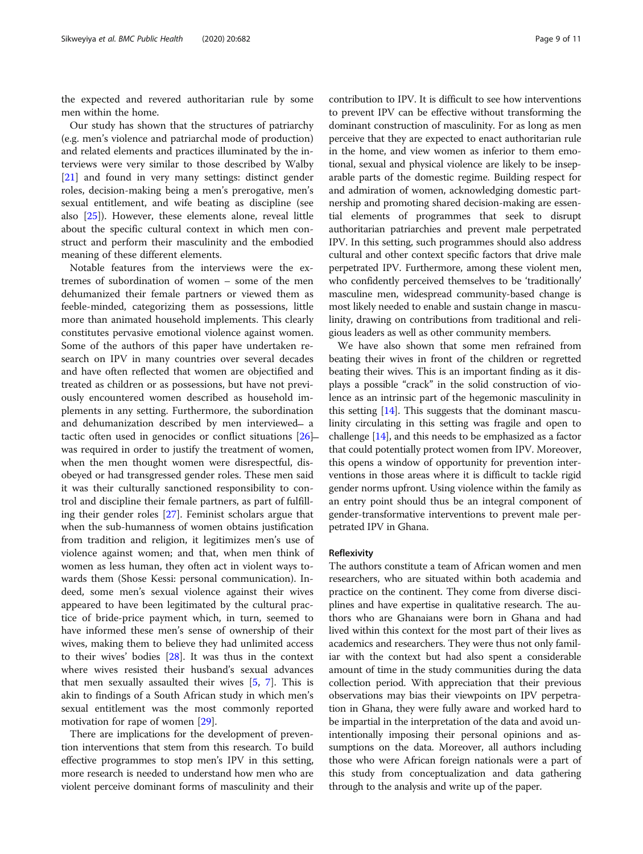the expected and revered authoritarian rule by some men within the home.

Our study has shown that the structures of patriarchy (e.g. men's violence and patriarchal mode of production) and related elements and practices illuminated by the interviews were very similar to those described by Walby [[21\]](#page-10-0) and found in very many settings: distinct gender roles, decision-making being a men's prerogative, men's sexual entitlement, and wife beating as discipline (see also [[25](#page-10-0)]). However, these elements alone, reveal little about the specific cultural context in which men construct and perform their masculinity and the embodied meaning of these different elements.

Notable features from the interviews were the extremes of subordination of women – some of the men dehumanized their female partners or viewed them as feeble-minded, categorizing them as possessions, little more than animated household implements. This clearly constitutes pervasive emotional violence against women. Some of the authors of this paper have undertaken research on IPV in many countries over several decades and have often reflected that women are objectified and treated as children or as possessions, but have not previously encountered women described as household implements in any setting. Furthermore, the subordination and dehumanization described by men interviewed- a tactic often used in genocides or conflict situations  $[26]$  $[26]$  $[26]$ was required in order to justify the treatment of women, when the men thought women were disrespectful, disobeyed or had transgressed gender roles. These men said it was their culturally sanctioned responsibility to control and discipline their female partners, as part of fulfilling their gender roles [[27\]](#page-10-0). Feminist scholars argue that when the sub-humanness of women obtains justification from tradition and religion, it legitimizes men's use of violence against women; and that, when men think of women as less human, they often act in violent ways towards them (Shose Kessi: personal communication). Indeed, some men's sexual violence against their wives appeared to have been legitimated by the cultural practice of bride-price payment which, in turn, seemed to have informed these men's sense of ownership of their wives, making them to believe they had unlimited access to their wives' bodies [\[28](#page-10-0)]. It was thus in the context where wives resisted their husband's sexual advances that men sexually assaulted their wives [[5,](#page-9-0) [7\]](#page-10-0). This is akin to findings of a South African study in which men's sexual entitlement was the most commonly reported motivation for rape of women [[29\]](#page-10-0).

There are implications for the development of prevention interventions that stem from this research. To build effective programmes to stop men's IPV in this setting, more research is needed to understand how men who are violent perceive dominant forms of masculinity and their

contribution to IPV. It is difficult to see how interventions to prevent IPV can be effective without transforming the dominant construction of masculinity. For as long as men perceive that they are expected to enact authoritarian rule in the home, and view women as inferior to them emotional, sexual and physical violence are likely to be inseparable parts of the domestic regime. Building respect for and admiration of women, acknowledging domestic partnership and promoting shared decision-making are essential elements of programmes that seek to disrupt authoritarian patriarchies and prevent male perpetrated IPV. In this setting, such programmes should also address cultural and other context specific factors that drive male perpetrated IPV. Furthermore, among these violent men, who confidently perceived themselves to be 'traditionally' masculine men, widespread community-based change is most likely needed to enable and sustain change in masculinity, drawing on contributions from traditional and religious leaders as well as other community members.

We have also shown that some men refrained from beating their wives in front of the children or regretted beating their wives. This is an important finding as it displays a possible "crack" in the solid construction of violence as an intrinsic part of the hegemonic masculinity in this setting [[14](#page-10-0)]. This suggests that the dominant masculinity circulating in this setting was fragile and open to challenge [[14](#page-10-0)], and this needs to be emphasized as a factor that could potentially protect women from IPV. Moreover, this opens a window of opportunity for prevention interventions in those areas where it is difficult to tackle rigid gender norms upfront. Using violence within the family as an entry point should thus be an integral component of gender-transformative interventions to prevent male perpetrated IPV in Ghana.

#### Reflexivity

The authors constitute a team of African women and men researchers, who are situated within both academia and practice on the continent. They come from diverse disciplines and have expertise in qualitative research. The authors who are Ghanaians were born in Ghana and had lived within this context for the most part of their lives as academics and researchers. They were thus not only familiar with the context but had also spent a considerable amount of time in the study communities during the data collection period. With appreciation that their previous observations may bias their viewpoints on IPV perpetration in Ghana, they were fully aware and worked hard to be impartial in the interpretation of the data and avoid unintentionally imposing their personal opinions and assumptions on the data. Moreover, all authors including those who were African foreign nationals were a part of this study from conceptualization and data gathering through to the analysis and write up of the paper.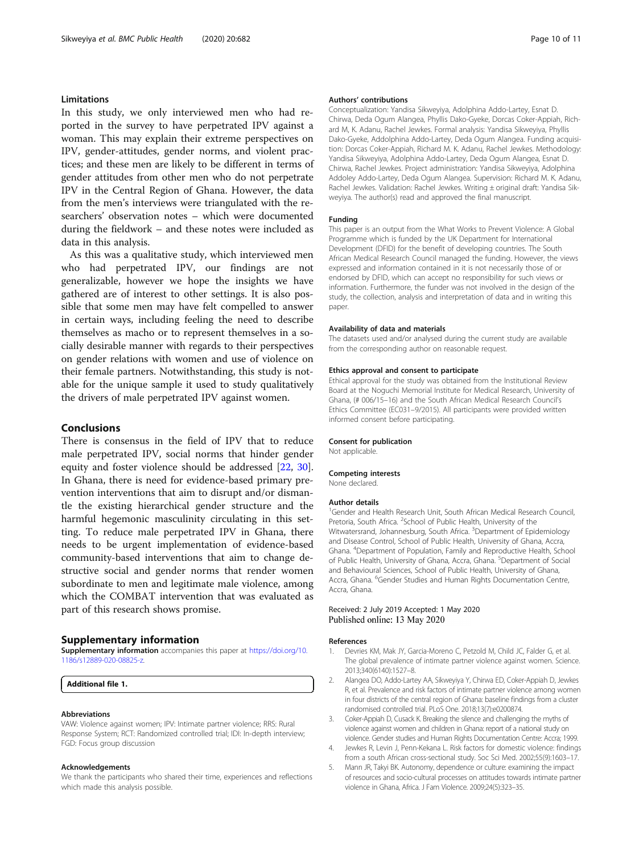## <span id="page-9-0"></span>Limitations

In this study, we only interviewed men who had reported in the survey to have perpetrated IPV against a woman. This may explain their extreme perspectives on IPV, gender-attitudes, gender norms, and violent practices; and these men are likely to be different in terms of gender attitudes from other men who do not perpetrate IPV in the Central Region of Ghana. However, the data from the men's interviews were triangulated with the researchers' observation notes – which were documented during the fieldwork – and these notes were included as data in this analysis.

As this was a qualitative study, which interviewed men who had perpetrated IPV, our findings are not generalizable, however we hope the insights we have gathered are of interest to other settings. It is also possible that some men may have felt compelled to answer in certain ways, including feeling the need to describe themselves as macho or to represent themselves in a socially desirable manner with regards to their perspectives on gender relations with women and use of violence on their female partners. Notwithstanding, this study is notable for the unique sample it used to study qualitatively the drivers of male perpetrated IPV against women.

#### Conclusions

There is consensus in the field of IPV that to reduce male perpetrated IPV, social norms that hinder gender equity and foster violence should be addressed [[22](#page-10-0), [30](#page-10-0)]. In Ghana, there is need for evidence-based primary prevention interventions that aim to disrupt and/or dismantle the existing hierarchical gender structure and the harmful hegemonic masculinity circulating in this setting. To reduce male perpetrated IPV in Ghana, there needs to be urgent implementation of evidence-based community-based interventions that aim to change destructive social and gender norms that render women subordinate to men and legitimate male violence, among which the COMBAT intervention that was evaluated as part of this research shows promise.

#### Supplementary information

Supplementary information accompanies this paper at [https://doi.org/10.](https://doi.org/10.1186/s12889-020-08825-z) [1186/s12889-020-08825-z.](https://doi.org/10.1186/s12889-020-08825-z)

#### Additional file 1.

#### Abbreviations

VAW: Violence against women; IPV: Intimate partner violence; RRS: Rural Response System; RCT: Randomized controlled trial; IDI: In-depth interview; FGD: Focus group discussion

#### Acknowledgements

We thank the participants who shared their time, experiences and reflections which made this analysis possible.

#### Authors' contributions

Conceptualization: Yandisa Sikweyiya, Adolphina Addo-Lartey, Esnat D. Chirwa, Deda Ogum Alangea, Phyllis Dako-Gyeke, Dorcas Coker-Appiah, Richard M, K. Adanu, Rachel Jewkes. Formal analysis: Yandisa Sikweyiya, Phyllis Dako-Gyeke, Addolphina Addo-Lartey, Deda Ogum Alangea. Funding acquisition: Dorcas Coker-Appiah, Richard M. K. Adanu, Rachel Jewkes. Methodology: Yandisa Sikweyiya, Adolphina Addo-Lartey, Deda Ogum Alangea, Esnat D. Chirwa, Rachel Jewkes. Project administration: Yandisa Sikweyiya, Adolphina Addoley Addo-Lartey, Deda Ogum Alangea. Supervision: Richard M. K. Adanu, Rachel Jewkes. Validation: Rachel Jewkes. Writing ± original draft: Yandisa Sikweyiya. The author(s) read and approved the final manuscript.

#### Funding

This paper is an output from the What Works to Prevent Violence: A Global Programme which is funded by the UK Department for International Development (DFID) for the benefit of developing countries. The South African Medical Research Council managed the funding. However, the views expressed and information contained in it is not necessarily those of or endorsed by DFID, which can accept no responsibility for such views or information. Furthermore, the funder was not involved in the design of the study, the collection, analysis and interpretation of data and in writing this paper.

#### Availability of data and materials

The datasets used and/or analysed during the current study are available from the corresponding author on reasonable request.

#### Ethics approval and consent to participate

Ethical approval for the study was obtained from the Institutional Review Board at the Noguchi Memorial Institute for Medical Research, University of Ghana, (# 006/15–16) and the South African Medical Research Council's Ethics Committee (EC031–9/2015). All participants were provided written informed consent before participating.

#### Consent for publication

Not applicable.

#### Competing interests

None declared.

#### Author details

<sup>1</sup>Gender and Health Research Unit, South African Medical Research Council, Pretoria, South Africa. <sup>2</sup>School of Public Health, University of the Witwatersrand, Johannesburg, South Africa. <sup>3</sup>Department of Epidemiology and Disease Control, School of Public Health, University of Ghana, Accra, Ghana. <sup>4</sup> Department of Population, Family and Reproductive Health, School of Public Health, University of Ghana, Accra, Ghana. <sup>5</sup>Department of Social and Behavioural Sciences, School of Public Health, University of Ghana, Accra, Ghana. <sup>6</sup>Gender Studies and Human Rights Documentation Centre, Accra, Ghana.

#### Received: 2 July 2019 Accepted: 1 May 2020 Published online: 13 May 2020

#### References

- 1. Devries KM, Mak JY, Garcia-Moreno C, Petzold M, Child JC, Falder G, et al. The global prevalence of intimate partner violence against women. Science. 2013;340(6140):1527–8.
- 2. Alangea DO, Addo-Lartey AA, Sikweyiya Y, Chirwa ED, Coker-Appiah D, Jewkes R, et al. Prevalence and risk factors of intimate partner violence among women in four districts of the central region of Ghana: baseline findings from a cluster randomised controlled trial. PLoS One. 2018;13(7):e0200874.
- 3. Coker-Appiah D, Cusack K. Breaking the silence and challenging the myths of violence against women and children in Ghana: report of a national study on violence. Gender studies and Human Rights Documentation Centre: Accra; 1999.
- 4. Jewkes R, Levin J, Penn-Kekana L. Risk factors for domestic violence: findings from a south African cross-sectional study. Soc Sci Med. 2002;55(9):1603–17.
- 5. Mann JR, Takyi BK. Autonomy, dependence or culture: examining the impact of resources and socio-cultural processes on attitudes towards intimate partner violence in Ghana, Africa. J Fam Violence. 2009;24(5):323–35.